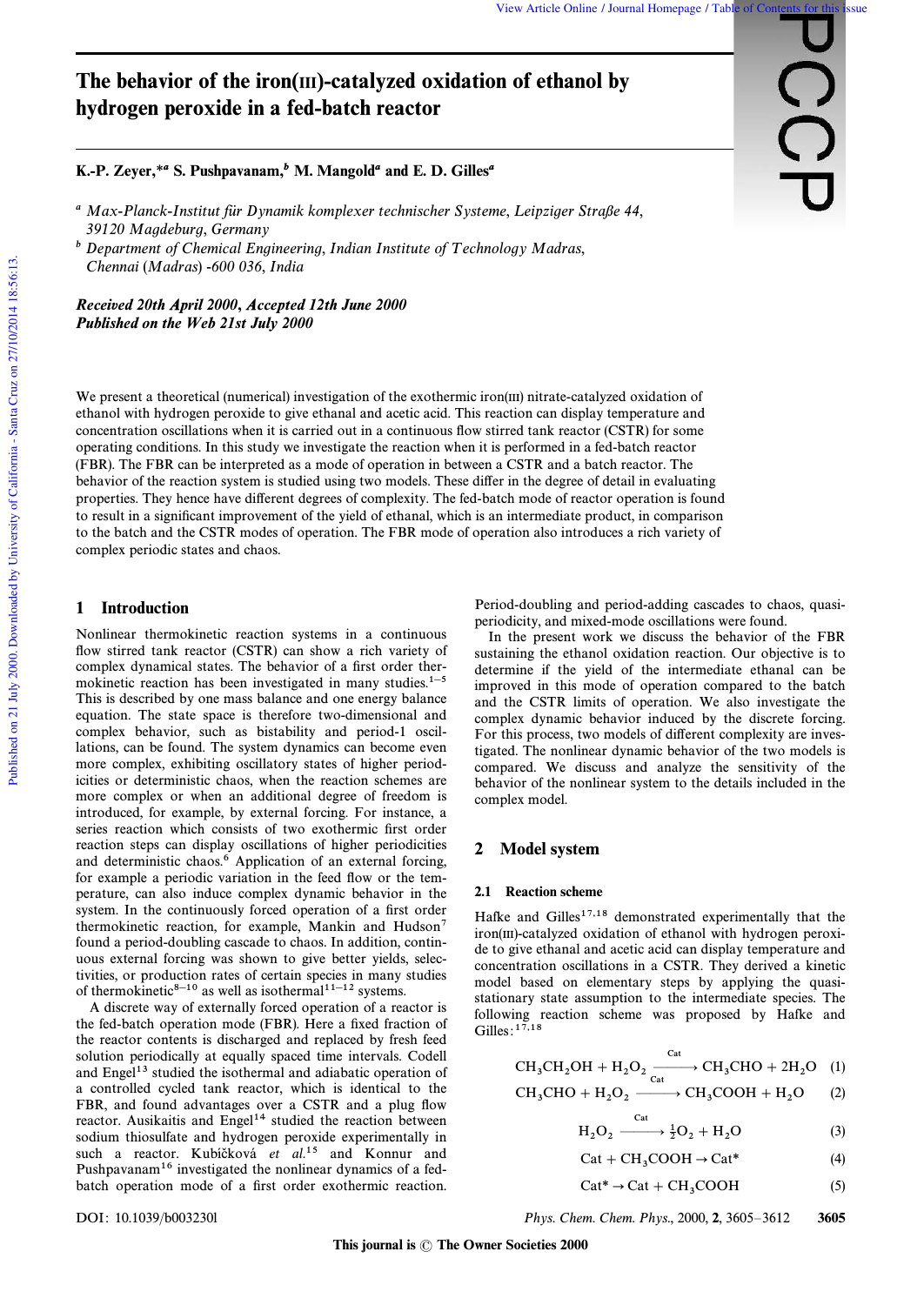**CC** 

# The behavior of the iron(III)-catalyzed oxidation of ethanol by hydrogen peroxide in a fed-batch reactor

# K.-P. Zeyer,\**a* S. Pushpavanam,*b* M. Mangold*a* and E. D. Gilles*a*

- <sup>a</sup> Max-Planck-Institut für Dynamik komplexer technischer Systeme, Leipziger Straße 44, 39120 Magdeburg, Germany
- $<sup>b</sup>$  Department of Chemical Engineering, Indian Institute of Technology Madras,</sup> Chennai (Madras) -600 036, India

*Recei***v***ed 20th April 2000*, *Accepted 12th June 2000 Published on the Web 21st July 2000*

We present a theoretical (numerical) investigation of the exothermic iron(III) nitrate-catalyzed oxidation of ethanol with hydrogen peroxide to give ethanal and acetic acid. This reaction can display temperature and concentration oscillations when it is carried out in a continuous flow stirred tank reactor (CSTR) for some operating conditions. In this study we investigate the reaction when it is performed in a fed-batch reactor (FBR). The FBR can be interpreted as a mode of operation in between a CSTR and a batch reactor. The behavior of the reaction system is studied using two models. These differ in the degree of detail in evaluating properties. They hence have di†erent degrees of complexity. The fed-batch mode of reactor operation is found to result in a significant improvement of the yield of ethanal, which is an intermediate product, in comparison to the batch and the CSTR modes of operation. The FBR mode of operation also introduces a rich variety of complex periodic states and chaos.

## 1 Introduction

Nonlinear thermokinetic reaction systems in a continuous flow stirred tank reactor (CSTR) can show a rich variety of complex dynamical states. The behavior of a first order thermokinetic reaction has been investigated in many studies. $1-5$ This is described by one mass balance and one energy balance equation. The state space is therefore two-dimensional and complex behavior, such as bistability and period-1 oscillations, can be found. The system dynamics can become even more complex, exhibiting oscillatory states of higher periodicities or deterministic chaos, when the reaction schemes are more complex or when an additional degree of freedom is introduced, for example, by external forcing. For instance, a series reaction which consists of two exothermic first order reaction steps can display oscillations of higher periodicities and deterministic chaos.<sup>6</sup> Application of an external forcing, for example a periodic variation in the feed flow or the temperature, can also induce complex dynamic behavior in the system. In the continuously forced operation of a first order thermokinetic reaction, for example, Mankin and Hudson<sup>7</sup> found a period-doubling cascade to chaos. In addition, continuous external forcing was shown to give better yields, selectivities, or production rates of certain species in many studies of thermokinetic<sup>8-10</sup> as well as isothermal<sup>11-12</sup> systems.

A discrete way of externally forced operation of a reactor is the fed-batch operation mode (FBR). Here a fixed fraction of the reactor contents is discharged and replaced by fresh feed solution periodically at equally spaced time intervals. Codell and Engel<sup>13</sup> studied the isothermal and adiabatic operation of a controlled cycled tank reactor, which is identical to the FBR, and found advantages over a CSTR and a plug flow reactor. Ausikaitis and Engel<sup>14</sup> studied the reaction between sodium thiosulfate and hydrogen peroxide experimentally in such a reactor. Kubíčková et al.<sup>15</sup> and Konnur and Pushpavanam<sup>16</sup> investigated the nonlinear dynamics of a fedbatch operation mode of a first order exothermic reaction.

Period-doubling and period-adding cascades to chaos, quasiperiodicity, and mixed-mode oscillations were found.

In the present work we discuss the behavior of the FBR sustaining the ethanol oxidation reaction. Our objective is to determine if the yield of the intermediate ethanal can be improved in this mode of operation compared to the batch and the CSTR limits of operation. We also investigate the complex dynamic behavior induced by the discrete forcing. For this process, two models of different complexity are investigated. The nonlinear dynamic behavior of the two models is compared. We discuss and analyze the sensitivity of the behavior of the nonlinear system to the details included in the complex model.

## 2 Model system

#### 2.1 Reaction scheme

Hafke and Gilles $17,18$  demonstrated experimentally that the iron(III)-catalyzed oxidation of ethanol with hydrogen peroxide to give ethanal and acetic acid can display temperature and concentration oscillations in a CSTR. They derived a kinetic model based on elementary steps by applying the quasistationary state assumption to the intermediate species. The following reaction scheme was proposed by Hafke and Gilles: $1^{\overline{7},18}$ 

$$
CH_3CH_2OH + H_2O_2 \xrightarrow{Cat} CH_3CHO + 2H_2O \quad (1)
$$

$$
CH_3CHO + H_2O_2 \xrightarrow{Cat} CH_3COOH + H_2O \qquad (2)
$$

$$
H_2O_2 \xrightarrow{Cat} \frac{1}{2}O_2 + H_2O \tag{3}
$$

$$
Cat + CH3COOH \rightarrow Cat^*
$$
 (4)

$$
Cat^* \to Cat + CH_3COOH
$$
 (5)

DOI: 10.1039/b003230l Phys. Chem. Chem. Phys., 2000, 2, 3605-3612 3605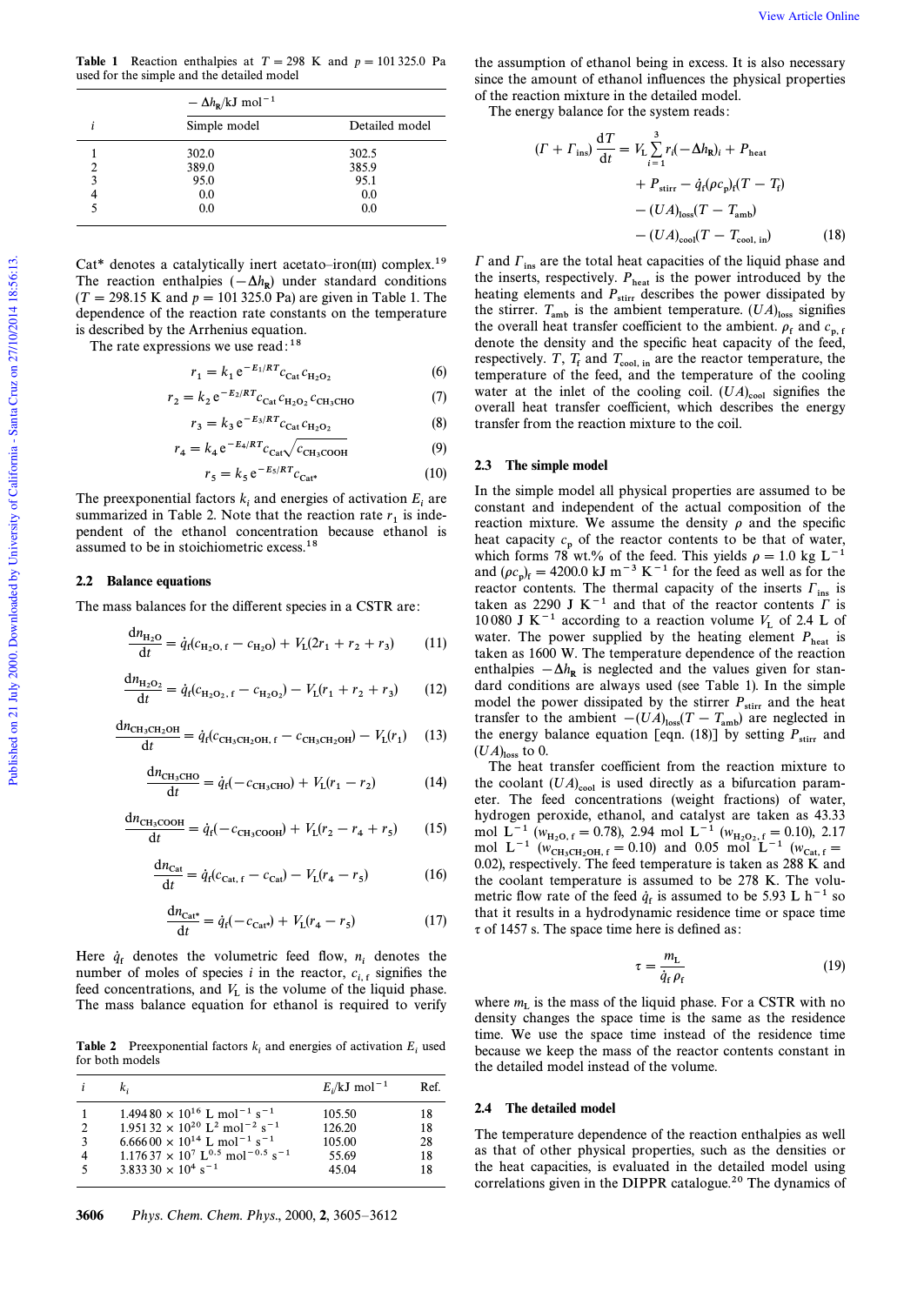**Table 1** Reaction enthalpies at  $T = 298$  K and  $p = 101325.0$  Pa used for the simple and the detailed model

|   | $-\Delta h_{\rm R}/kJ$ mol <sup>-1</sup> |                |  |
|---|------------------------------------------|----------------|--|
|   | Simple model                             | Detailed model |  |
|   | 302.0                                    | 302.5          |  |
| 2 | 389.0                                    | 385.9          |  |
| 3 | 95.0                                     | 95.1           |  |
|   | 0.0                                      | 0.0            |  |
|   | 0.0                                      | 0.0            |  |

Cat\* denotes a catalytically inert acetato-iron(III) complex.<sup>19</sup> The reaction enthalpies  $(-\Delta h_R)$  under standard conditions  $(T = 298.15 \text{ K}$  and  $p = 101 325.0 \text{ Pa}$  are given in Table 1. The dependence of the reaction rate constants on the temperature is described by the Arrhenius equation.

The rate expressions we use read:  $18$ 

$$
r_1 = k_1 e^{-E_1/RT} c_{\text{Cat}} c_{\text{H}_2\text{O}_2}
$$
 (6)

$$
r_2 = k_2 e^{-E_2/RT} c_{\text{Cat}} c_{\text{H}_2\text{O}_2} c_{\text{CH}_3\text{CHO}} \tag{7}
$$

$$
r_3 = k_3 e^{-E_3/RT} c_{\text{Cat}} c_{\text{H}_2\text{O}_2}
$$
 (8)

$$
r_4 = k_4 e^{-E_4/RT} c_{\text{Cat}} \sqrt{c_{\text{CH}_3\text{COOH}}}
$$
 (9)

$$
r_5 = k_5 e^{-E_5/RT} c_{\text{Cat}^*}
$$
 (10)

The preexponential factors  $k_i$  and energies of activation  $E_i$  are summarized in Table 2. Note that the reaction rate  $r_1$  is independent of the ethanol concentration because ethanol is assumed to be in stoichiometric excess.<sup>18</sup>

## 2.2 Balance equations

The mass balances for the different species in a CSTR are:

$$
\frac{dn_{H_2O}}{dt} = \dot{q}_f(c_{H_2O,f} - c_{H_2O}) + V_L(2r_1 + r_2 + r_3)
$$
 (11)

$$
\frac{dn_{H_2O_2}}{dt} = \dot{q}_f(c_{H_2O_2, f} - c_{H_2O_2}) - V_L(r_1 + r_2 + r_3)
$$
 (12)

$$
\frac{dn_{\text{CH}_3\text{CH}_2\text{OH}}}{dt} = \dot{q}_f(c_{\text{CH}_3\text{CH}_2\text{OH}, f} - c_{\text{CH}_3\text{CH}_2\text{OH}}) - V_L(r_1) \tag{13}
$$

$$
\frac{dn_{\text{CH}_3CHO}}{dt} = \dot{q}_f(-c_{\text{CH}_3CHO}) + V_L(r_1 - r_2)
$$
 (14)

$$
\frac{dn_{\text{CH}_3\text{COOH}}}{dt} = \dot{q}_f(-c_{\text{CH}_3\text{COOH}}) + V_L(r_2 - r_4 + r_5) \tag{15}
$$

$$
\frac{dn_{\text{Cat}}}{dt} = \dot{q}_f(c_{\text{Cat}, f} - c_{\text{Cat}}) - V_L(r_4 - r_5)
$$
 (16)

$$
\frac{dn_{\text{Cat}^*}}{dt} = \dot{q}_f(-c_{\text{Cat}^*}) + V_L(r_4 - r_5) \tag{17}
$$

Here  $q_f$  denotes the volumetric feed flow,  $n_i$  denotes the number of moles of species i in the reactor,  $c_{i,t}$  signifies the feed concentrations, and  $V_L$  is the volume of the liquid phase. The mass balance equation for ethanol is required to verify

**Table 2** Preexponential factors  $k_i$  and energies of activation  $E_i$  used for both models

|                    |                                                                                                                                                                                                                                                                                                                                  | $E/kJ$ mol <sup>-1</sup>                     | Ref.                       |
|--------------------|----------------------------------------------------------------------------------------------------------------------------------------------------------------------------------------------------------------------------------------------------------------------------------------------------------------------------------|----------------------------------------------|----------------------------|
| $\mathcal{L}$<br>3 | $1.49480 \times 10^{16}$ L mol <sup>-1</sup> s <sup>-1</sup><br>$1.95132 \times 10^{20}$ L <sup>2</sup> mol <sup>-2</sup> s <sup>-1</sup><br>$6.66600 \times 10^{14}$ L mol <sup>-1</sup> s <sup>-1</sup><br>$1.17637 \times 10^7$ L <sup>0.5</sup> mol <sup>-0.5</sup> s <sup>-1</sup><br>$3.83330 \times 10^4$ s <sup>-1</sup> | 105.50<br>126.20<br>105.00<br>55.69<br>45.04 | 18<br>18<br>28<br>18<br>18 |

the assumption of ethanol being in excess. It is also necessary since the amount of ethanol influences the physical properties of the reaction mixture in the detailed model.

The energy balance for the system reads:

$$
(T + \Gamma_{\text{ins}}) \frac{dT}{dt} = V_{\text{L}} \sum_{i=1}^{3} r_{i} (-\Delta h_{\text{R}})_{i} + P_{\text{heat}}
$$
  
+  $P_{\text{stirr}} - \dot{q}_{\text{f}} (\rho c_{\text{p}})_{\text{f}} (T - T_{\text{f}})$   
-  $(UA)_{\text{loss}} (T - T_{\text{amb}})$   
-  $(UA)_{\text{cool}} (T - T_{\text{cool, in}})$  (18)

 $\Gamma$  and  $\Gamma_{ins}$  are the total heat capacities of the liquid phase and the inserts, respectively.  $P_{\text{heat}}$  is the power introduced by the heating elements and  $P_{\text{stirr}}$  describes the power dissipated by ited the stirrer.  $T_{amb}$  is the ambient temperature.  $(UA)_{loss}$  signifies the surfer.  $I_{amb}$  is the ambient temperature. ( $\sigma A_{Jloss}$  signifies<br>the overall heat transfer coefficient to the ambient.  $\rho_f$  and  $c_{p,f}$ denote the density and the specific heat capacity of the feed, respectively. T,  $T_f$  and  $T_{\text{cool, in}}$  are the reactor temperature, the temperature of the feed, and the temperature of the cooling water at the inlet of the cooling coil.  $(UA)_{\text{cool}}$  signifies the overall heat transfer coefficient, which describes the energy transfer from the reaction mixture to the coil.

## 2.3 The simple model

In the simple model all physical properties are assumed to be constant and independent of the actual composition of the reaction mixture. We assume the density  $\rho$  and the specific heat capacity  $c_p$  of the reactor contents to be that of water, which forms 78 wt.% of the feed. This yields  $\rho = 1.0 \text{ kg L}^{-1}$ and  $(\rho c_p)_f = 4200.0 \text{ kJ m}^{-3} \text{ K}^{-1}$  for the feed as well as for the reactor contents. The thermal capacity of the inserts  $\Gamma_{\text{ins}}$  is taken as 2290 J K<sup> $-1$ </sup> and that of the reactor contents  $\Gamma$  is 10 080 J K<sup>-1</sup> according to a reaction volume  $V_L$  of 2.4 L of water. The power supplied by the heating element  $P_{\text{heat}}$  is taken as 1600 W. The temperature dependence of the reaction enthalpies  $-\Delta h_{\rm R}$  is neglected and the values given for standard conditions are always used (see Table 1). In the simple model the power dissipated by the stirrer  $P_{\text{stirr}}$  and the heat transfer to the ambient  $-(UA)_{\text{loss}}(T - T_{\text{amb}})$  are neglected in the energy balance equation [eqn. (18)] by setting  $P_{\text{stirr}}$  and  $(UA)_{\text{loss}}$  to 0.<br>The heat transfer coefficient from the reaction mixture to

the coolant  $(UA)_{\text{cool}}$  is used directly as a bifurcation parameter. The feed concentrations (weight fractions) of water, hydrogen peroxide, ethanol, and catalyst are taken as 43.33 mol L<sup>-1</sup> ( $w_{\text{H}_2\text{O}, f} = 0.78$ ), 2.94 mol L<sup>-1</sup> ( $w_{\text{H}_2\text{O}_2, f} = 0.10$ ), 2.17 mol  $L^{-1}$  ( $W_{CH_3CH_2OH,f} = 0.10$ ) and 0.05 mol  $L^{-1}$  ( $W_{Cat,f} = 0.00$ ) 0.02), respectively. The feed temperature is taken as 288 K and the coolant temperature is assumed to be 278 K. The volumetric flow rate of the feed  $\dot{q}_f$  is assumed to be 5.93 L h<sup>-1</sup> so that it results in a hydrodynamic residence time or space time  $\tau$  of 1457 s. The space time here is defined as:

$$
\tau = \frac{m_{\rm L}}{\dot{q}_{\rm f}\,\rho_{\rm f}}\tag{19}
$$

where  $m_{\rm L}$  is the mass of the liquid phase. For a CSTR with no density changes the space time is the same as the residence time. We use the space time instead of the residence time because we keep the mass of the reactor contents constant in the detailed model instead of the volume.

#### 2.4 The detailed model

The temperature dependence of the reaction enthalpies as well as that of other physical properties, such as the densities or the heat capacities, is evaluated in the detailed model using correlations given in the DIPPR catalogue.<sup>20</sup> The dynamics of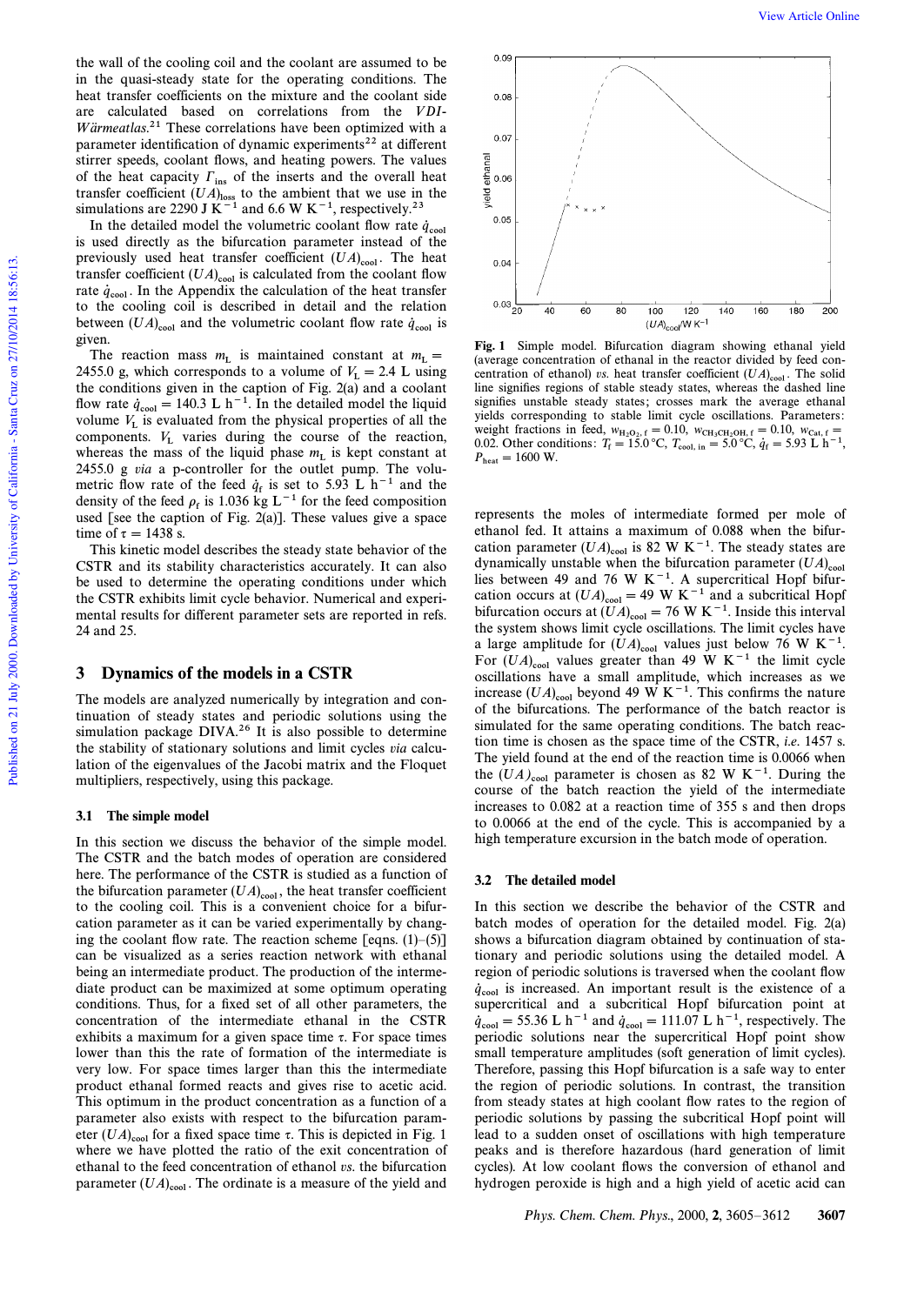is used directly as the bifurcation parameter instead of the previously used heat transfer coefficient  $(UA)_{\text{cool}}$ . The heat transfer coefficient  $(UA)_{cool}$  is calculated from the coolant flow Transfer coefficient ( $\sigma A_{\text{cool}}$ ) is calculated from the coolant now<br>rate  $q_{\text{cool}}$ . In the Appendix the calculation of the heat transfer to the cooling coil is described in detail and the relation between  $(UA)_{\text{cool}}$  and the volumetric coolant flow rate  $\dot{q}_{\text{cool}}$  is given.

The reaction mass  $m_{\rm L}$  is maintained constant at  $m_{\rm L}$  = 2455.0 g, which corresponds to a volume of  $V_L = 2.4$  L using 2433.0 g, which corresponds to a volume of  $v_L = 2.4$  L using<br>the conditions given in the caption of Fig. 2(a) and a coolant flow rate  $\dot{q}_{cool} = 140.3 \text{ L h}^{-1}$ . In the detailed model the liquid volume  $V_L$  is evaluated from the physical properties of all the components.  $V_L$  varies during the course of the reaction, whereas the mass of the liquid phase  $m<sub>L</sub>$  is kept constant at  $m<sub>L</sub>$ 2455.0 g via a p-controller for the outlet pump. The volumetric flow rate of the feed  $\dot{q}_f$  is set to 5.93 L  $h^{-1}$  and the density of the feed  $\rho_f$  is 1.036 kg L<sup>-1</sup> for the feed composition used [see the caption of Fig. 2(a)]. These values give a space time of  $\tau = 1438$  s.

This kinetic model describes the steady state behavior of the CSTR and its stability characteristics accurately. It can also be used to determine the operating conditions under which the CSTR exhibits limit cycle behavior. Numerical and experimental results for different parameter sets are reported in refs. 24 and 25.

## 3 Dynamics of the models in a CSTR

The models are analyzed numerically by integration and continuation of steady states and periodic solutions using the simulation package DIVA.<sup>26</sup> It is also possible to determine the stability of stationary solutions and limit cycles via calculation of the eigenvalues of the Jacobi matrix and the Floquet multipliers, respectively, using this package.

## 3.1 The simple model

In this section we discuss the behavior of the simple model. The CSTR and the batch modes of operation are considered here. The performance of the CSTR is studied as a function of the bifurcation parameter  $(UA)_{\text{cool}}$ , the heat transfer coefficient to the cooling coil. This is a convenient choice for a bifurcation parameter as it can be varied experimentally by changing the coolant flow rate. The reaction scheme [eqns.  $(1)$ – $(5)$ ] can be visualized as a series reaction network with ethanal being an intermediate product. The production of the intermediate product can be maximized at some optimum operating conditions. Thus, for a fixed set of all other parameters, the concentration of the intermediate ethanal in the CSTR exhibits a maximum for a given space time  $\tau$ . For space times lower than this the rate of formation of the intermediate is very low. For space times larger than this the intermediate product ethanal formed reacts and gives rise to acetic acid. This optimum in the product concentration as a function of a parameter also exists with respect to the bifurcation parameter  $(UA)_{\text{cool}}$  for a fixed space time  $\tau$ . This is depicted in Fig. 1 where we have plotted the ratio of the exit concentration of ethanal to the feed concentration of ethanol vs. the bifurcation parameter  $(UA)_{\text{cool}}$ . The ordinate is a measure of the yield and



Fig. 1 Simple model. Bifurcation diagram showing ethanal yield (average concentration of ethanal in the reactor divided by feed concentration of ethanol) vs. heat transfer coefficient  $(UA)_{\text{cool}}$ . The solid  $\lim_{\epsilon \to 0} \frac{1}{\epsilon}$  is the solid  $\lim_{\epsilon \to 0} \frac{1}{\epsilon}$ line signifies regions of stable steady states, whereas the dashed line signifies unstable steady states; crosses mark the average ethanal yields corresponding to stable limit cycle oscillations. Parameters: weight fractions in feed,  $w_{H_2O_2,f} = 0.10$ ,  $w_{CH_3CH_2OH,f} = 0.10$ ,  $w_{Cat,f} = 0.02$ . Other conditions:  $T_f = 15.0 \degree C$ ,  $T_{cool,i}$  in  $= 5.0 \degree C$ ,  $\dot{q}_f = 5.93 \text{ L h}^{-1}$ ,  $P_{\rm heat} = 1600$  W.

represents the moles of intermediate formed per mole of ethanol fed. It attains a maximum of 0.088 when the bifurcation parameter  $(UA)_{\text{cool}}$  is 82 W K<sup>-1</sup>. The steady states are dynamically unstable when the bifurcation parameter  $(UA)_{\text{cool}}$ lies between 49 and 76 W K<sup>-1</sup>. A supercritical Hopf bifurcation occurs at  $(UA)_{\text{cool}} = 49 \text{ W K}^{-1}$  and a subcritical Hopf bifurcation occurs at  $(\widetilde{U}A)_{\rm cool} = 76 \,\mathrm{W} \,\mathrm{K}^{-1}$ . Inside this interval the system shows limit cycle oscillations. The limit cycles have a large amplitude for  $(UA)_{cool}$  values just below 76 W K<sup>-1</sup>. For  $(UA)_{cool}$  values greater than 49 W K<sup>-1</sup> the limit cycle oscillations have a small amplitude, which increases as we increase  $(UA)_{cool}$  beyond 49 W K<sup>-1</sup>. This confirms the nature of the bifurcations. The performance of the batch reactor is simulated for the same operating conditions. The batch reaction time is chosen as the space time of the CSTR, i.e. 1457 s. The yield found at the end of the reaction time is 0.0066 when the  $(UA)_{cool}$  parameter is chosen as 82 W K<sup>-1</sup>. During the course of the batch reaction the yield of the intermediate increases to 0.082 at a reaction time of 355 s and then drops to 0.0066 at the end of the cycle. This is accompanied by a high temperature excursion in the batch mode of operation.

#### 3.2 The detailed model

In this section we describe the behavior of the CSTR and batch modes of operation for the detailed model. Fig. 2(a) shows a bifurcation diagram obtained by continuation of stationary and periodic solutions using the detailed model. A region of periodic solutions is traversed when the coolant flow  $\dot{q}_{cool}$  is increased. An important result is the existence of a supercritical and a subcritical Hopf bifurcation point at  $\dot{q}_{\text{cool}} = 55.36 \text{ L} \text{ h}^{-1} \text{ and } \dot{q}_{\text{cool}} = 111.07 \text{ L} \text{ h}^{-1} \text{, respectively.}$  The periodic solutions near the supercritical Hopf point show small temperature amplitudes (soft generation of limit cycles). Therefore, passing this Hopf bifurcation is a safe way to enter the region of periodic solutions. In contrast, the transition from steady states at high coolant flow rates to the region of periodic solutions by passing the subcritical Hopf point will lead to a sudden onset of oscillations with high temperature peaks and is therefore hazardous (hard generation of limit cycles). At low coolant flows the conversion of ethanol and hydrogen peroxide is high and a high yield of acetic acid can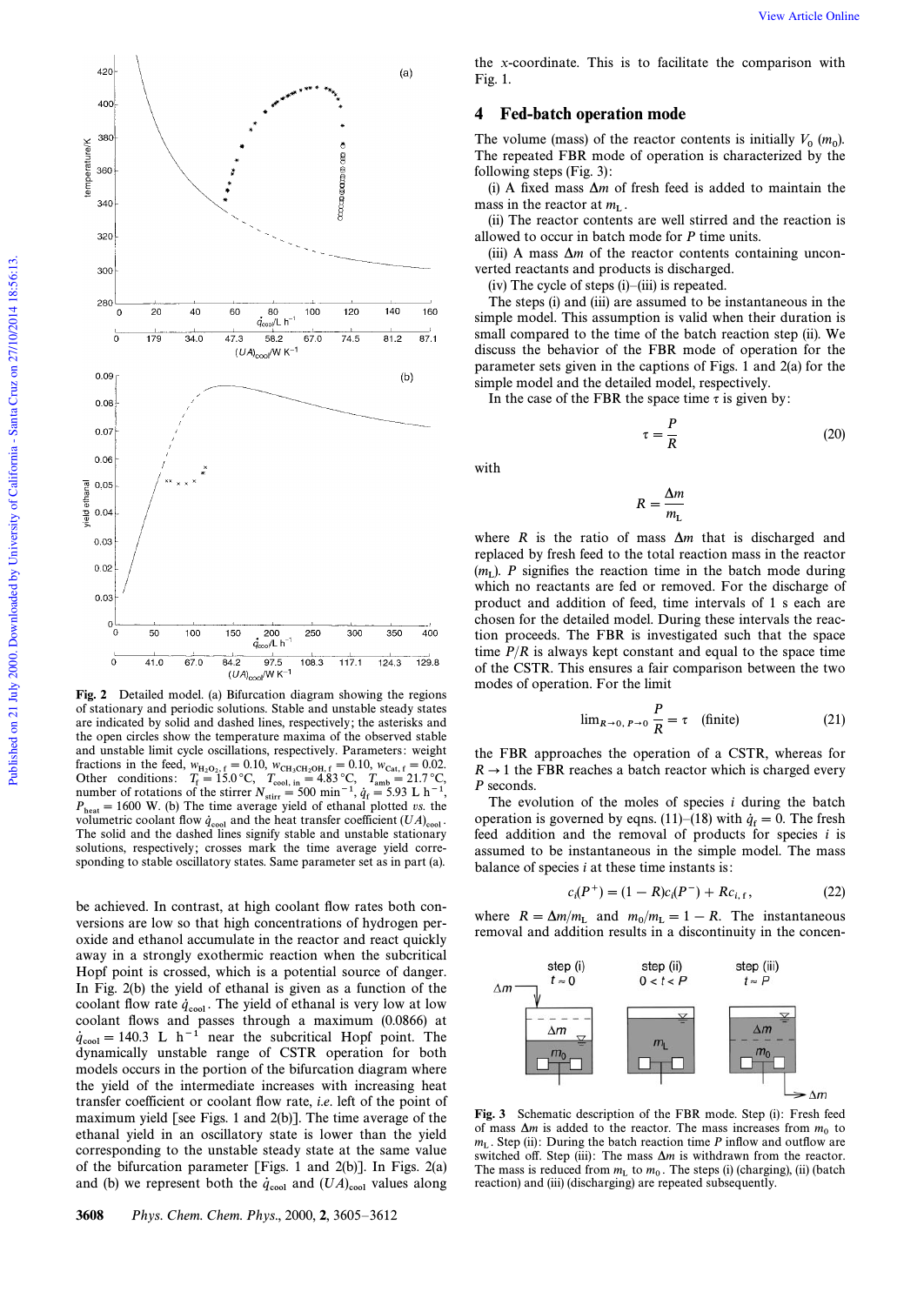

Fig. 2 Detailed model. (a) Bifurcation diagram showing the regions of stationary and periodic solutions. Stable and unstable steady states are indicated by solid and dashed lines, respectively; the asterisks and the open circles show the temperature maxima of the observed stable and unstable limit cycle oscillations, respectively. Parameters: weight fractions in the feed,  $w_{\text{H}_2\text{O}_2, f} = 0.10$ ,  $w_{\text{CH}_3\text{CH}_2\text{OH}, f} = 0.10$ ,  $w_{\text{Cat}, f} = 0.02$ .<br>Other conditions:  $T_f = 15.0 \text{ °C}$ ,  $T_{\text{cool, in}} = 4.83 \text{ °C}$ ,  $T_{\text{amb}} = 21.7 \text{ °C}$ ,<br>number of rotations of the stirrer  $N$  $P_{\text{heat}} = 1600 \text{ W}$ . (b) The time average yield of ethanal plotted vs. the volumetric coolant flow  $\dot{q}_{\text{cool}}$  and the heat transfer coefficient  $(UA)_{\text{cool}}$ . The solid and the dashed lines signify stable and unstable stationary solutions, respectively; crosses mark the time average yield corresponding to stable oscillatory states. Same parameter set as in part (a).

be achieved. In contrast, at high coolant flow rates both conversions are low so that high concentrations of hydrogen peroxide and ethanol accumulate in the reactor and react quickly away in a strongly exothermic reaction when the subcritical Hopf point is crossed, which is a potential source of danger. In Fig. 2(b) the yield of ethanal is given as a function of the coolant flow rate  $\dot{q}_{cool}$ . The yield of ethanal is very low at low  $\dot{q}_{cool}$ . coolant Ñows and passes through a maximum (0.0866) at  $\dot{q}_{\text{cool}} = 140.3$  L h<sup>-1</sup> near the subcritical Hopf point. The dynamically unstable range of CSTR operation for both models occurs in the portion of the bifurcation diagram where the yield of the intermediate increases with increasing heat transfer coefficient or coolant Ñow rate, i.e. left of the point of maximum yield [see Figs. 1 and 2(b)]. The time average of the ethanal yield in an oscillatory state is lower than the yield corresponding to the unstable steady state at the same value of the bifurcation parameter [Figs. 1 and 2(b)]. In Figs. 2(a) and (b) we represent both the  $\dot{q}_{\text{cool}}$  and  $(UA)_{\text{cool}}$  values along

the x-coordinate. This is to facilitate the comparison with Fig. 1.

# 4 Fed-batch operation mode

The volume (mass) of the reactor contents is initially  $V_0$  ( $m_0$ ). The repeated FBR mode of operation is characterized by the following steps (Fig. 3):

(i) A fixed mass  $\Delta m$  of fresh feed is added to maintain the mass in the reactor at  $m_{\text{L}}$ .

(ii) The reactor contents are well stirred and the reaction is allowed to occur in batch mode for P time units.

(iii) A mass  $\Delta m$  of the reactor contents containing unconverted reactants and products is discharged.

 $(iv)$  The cycle of steps  $(i)$ – $(iii)$  is repeated.

The steps (i) and (iii) are assumed to be instantaneous in the simple model. This assumption is valid when their duration is small compared to the time of the batch reaction step (ii). We discuss the behavior of the FBR mode of operation for the parameter sets given in the captions of Figs. 1 and 2(a) for the simple model and the detailed model, respectively.

In the case of the FBR the space time  $\tau$  is given by:

$$
\tau = \frac{P}{R} \tag{20}
$$

with

$$
R = \frac{\Delta m}{m_{\rm L}}
$$

where R is the ratio of mass  $\Delta m$  that is discharged and replaced by fresh feed to the total reaction mass in the reactor  $(m_L)$ . P signifies the reaction time in the batch mode during  $\mathbb{R}^2$ . which no reactants are fed or removed. For the discharge of product and addition of feed, time intervals of 1 s each are chosen for the detailed model. During these intervals the reaction proceeds. The FBR is investigated such that the space time  $P/R$  is always kept constant and equal to the space time of the CSTR. This ensures a fair comparison between the two modes of operation. For the limit

$$
\lim_{R \to 0, P \to 0} \frac{P}{R} = \tau \quad \text{(finite)} \tag{21}
$$

the FBR approaches the operation of a CSTR, whereas for  $R \rightarrow 1$  the FBR reaches a batch reactor which is charged every P seconds.

The evolution of the moles of species  $i$  during the batch operation is governed by eqns. (11)–(18) with  $\dot{q}_f = 0$ . The fresh feed addition and the removal of products for species  $i$  is assumed to be instantaneous in the simple model. The mass balance of species  $i$  at these time instants is:

$$
c_i(P^+) = (1 - R)c_i(P^-) + Rc_{i, f}, \qquad (22)
$$

where  $R = \Delta m/m_L$  and  $m_0/m_L = 1 - R$ . The instantaneous removal and addition results in a discontinuity in the concen-



Fig. 3 Schematic description of the FBR mode. Step (i): Fresh feed of mass  $\Delta m$  is added to the reactor. The mass increases from  $m_0$  to  $m_L$ . Step (ii): During the batch reaction time P inflow and outflow are  $m_L$ . Step (ii): During the batch reaction time P inflow and outflow are switched off. Step (iii): The mass  $\Delta m$  is withdrawn from the reactor. The mass is reduced from  $m<sub>L</sub>$  to  $m<sub>0</sub>$ . The steps (i) (charging), (ii) (batch metrics) and (iii) (disclose include metrics) are sensoring to the contract of reaction) and (iii) (discharging) are repeated subsequently.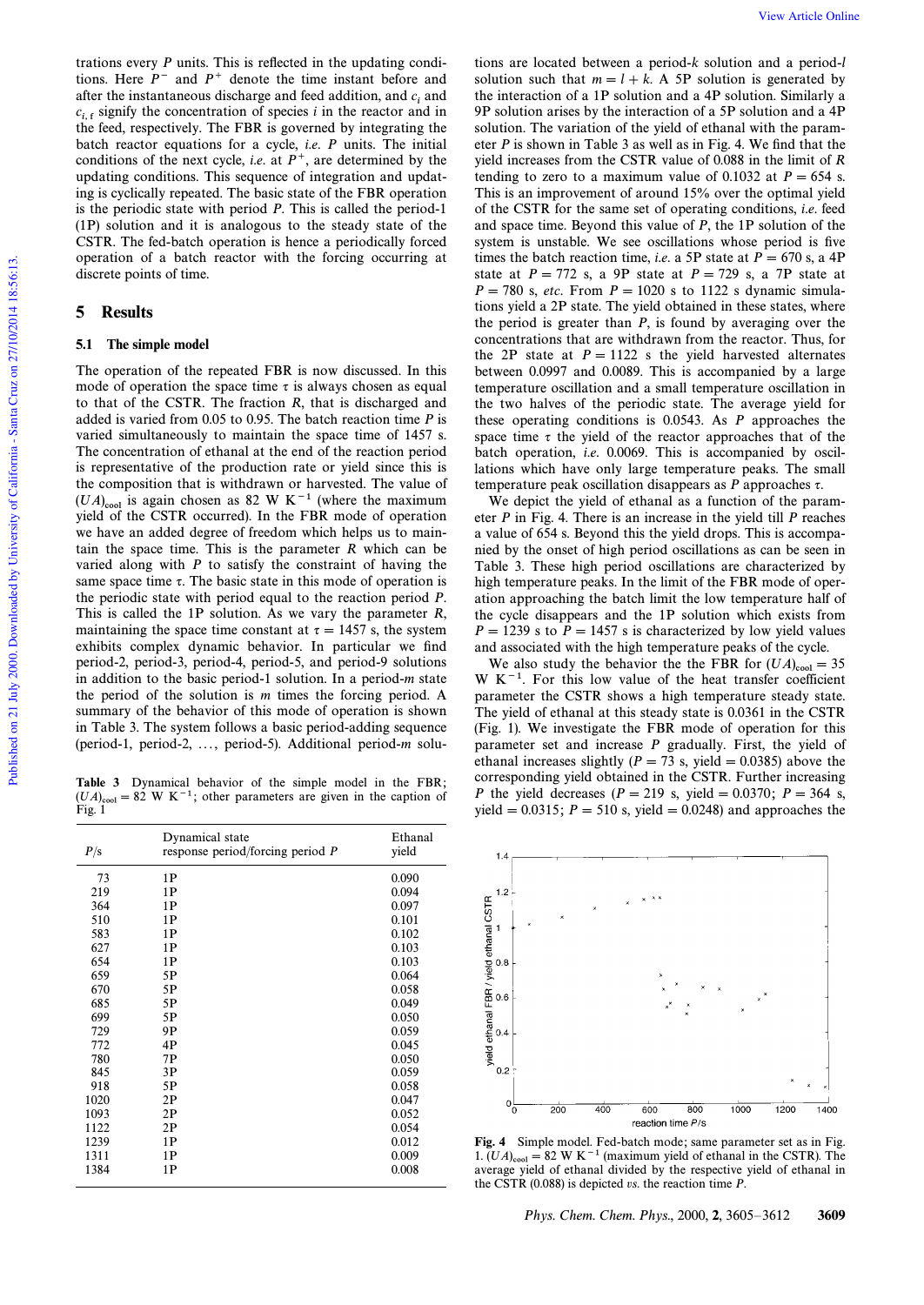trations every  $P$  units. This is reflected in the updating conditions. Here  $P^-$  and  $P^+$  denote the time instant before and after the instantaneous discharge and feed addition, and  $c_i$  and  $c_{i,f}$  signify the concentration of species i in the reactor and in the feed, respectively. The FBR is governed by integrating the batch reactor equations for a cycle, i.e. P units. The initial conditions of the next cycle, *i.e.* at  $P^+$ , are determined by the updating conditions. This sequence of integration and updating is cyclically repeated. The basic state of the FBR operation is the periodic state with period P. This is called the period-1 (1P) solution and it is analogous to the steady state of the CSTR. The fed-batch operation is hence a periodically forced operation of a batch reactor with the forcing occurring at discrete points of time.

# 5 Results

# 5.1 The simple model

The operation of the repeated FBR is now discussed. In this mode of operation the space time  $\tau$  is always chosen as equal to that of the CSTR. The fraction R, that is discharged and added is varied from 0.05 to 0.95. The batch reaction time P is varied simultaneously to maintain the space time of 1457 s. The concentration of ethanal at the end of the reaction period is representative of the production rate or yield since this is the composition that is withdrawn or harvested. The value of  $(UA)_{\text{cool}}$  is again chosen as 82 W K<sup>-1</sup> (where the maximum yield of the CSTR occurred). In the FBR mode of operation we have an added degree of freedom which helps us to maintain the space time. This is the parameter  $R$  which can be varied along with  $P$  to satisfy the constraint of having the same space time  $\tau$ . The basic state in this mode of operation is the periodic state with period equal to the reaction period P. This is called the 1P solution. As we vary the parameter  $R$ , maintaining the space time constant at  $\tau = 1457$  s, the system exhibits complex dynamic behavior. In particular we find period-2, period-3, period-4, period-5, and period-9 solutions in addition to the basic period-1 solution. In a period-m state the period of the solution is  $m$  times the forcing period. A summary of the behavior of this mode of operation is shown in Table 3. The system follows a basic period-adding sequence (period-1, period-2, ..., period-5). Additional period-m solu-

Table 3 Dynamical behavior of the simple model in the FBR;  $(UA)_{\text{cool}} = 82 \text{ W K}^{-1}$ ; other parameters are given in the caption of Fig. 1

| P/s  | Dynamical state<br>response period/forcing period $P$ | Ethanal<br>yield |
|------|-------------------------------------------------------|------------------|
| 73   | 1P                                                    | 0.090            |
| 219  | 1P                                                    | 0.094            |
| 364  | 1P                                                    | 0.097            |
| 510  | 1P                                                    | 0.101            |
| 583  | 1P                                                    | 0.102            |
| 627  | 1P                                                    | 0.103            |
| 654  | 1P                                                    | 0.103            |
| 659  | 5P                                                    | 0.064            |
| 670  | 5P                                                    | 0.058            |
| 685  | 5P                                                    | 0.049            |
| 699  | 5P                                                    | 0.050            |
| 729  | 9Ρ                                                    | 0.059            |
| 772  | 4P                                                    | 0.045            |
| 780  | 7P                                                    | 0.050            |
| 845  | 3P                                                    | 0.059            |
| 918  | 5P                                                    | 0.058            |
| 1020 | 2P                                                    | 0.047            |
| 1093 | 2P                                                    | 0.052            |
| 1122 | 2P                                                    | 0.054            |
| 1239 | 1P                                                    | 0.012            |
| 1311 | 1P                                                    | 0.009            |
| 1384 | 1P                                                    | 0.008            |

tions are located between a period-k solution and a period-l solution such that  $m = l + k$ . A 5P solution is generated by the interaction of a 1P solution and a 4P solution. Similarly a 9P solution arises by the interaction of a 5P solution and a 4P solution. The variation of the yield of ethanal with the parameter  $P$  is shown in Table 3 as well as in Fig. 4. We find that the yield increases from the CSTR value of 0.088 in the limit of R tending to zero to a maximum value of 0.1032 at  $P = 654$  s. This is an improvement of around 15% over the optimal yield of the CSTR for the same set of operating conditions, i.e. feed and space time. Beyond this value of P, the 1P solution of the system is unstable. We see oscillations whose period is five times the batch reaction time, *i.e.* a 5P state at  $P = 670$  s, a 4P state at  $P = 772$  s, a 9P state at  $P = 729$  s, a 7P state at  $P = 780$  s, etc. From  $P = 1020$  s to 1122 s dynamic simulations yield a 2P state. The yield obtained in these states, where the period is greater than  $P$ , is found by averaging over the concentrations that are withdrawn from the reactor. Thus, for the 2P state at  $P = 1122$  s the yield harvested alternates between 0.0997 and 0.0089. This is accompanied by a large temperature oscillation and a small temperature oscillation in the two halves of the periodic state. The average yield for these operating conditions is 0.0543. As P approaches the space time  $\tau$  the yield of the reactor approaches that of the batch operation, *i.e.* 0.0069. This is accompanied by oscillations which have only large temperature peaks. The small temperature peak oscillation disappears as  $P$  approaches  $\tau$ .

We depict the yield of ethanal as a function of the parameter P in Fig. 4. There is an increase in the yield till P reaches a value of 654 s. Beyond this the yield drops. This is accompanied by the onset of high period oscillations as can be seen in Table 3. These high period oscillations are characterized by high temperature peaks. In the limit of the FBR mode of operation approaching the batch limit the low temperature half of the cycle disappears and the 1P solution which exists from  $P = 1239$  s to  $P = 1457$  s is characterized by low yield values and associated with the high temperature peaks of the cycle.

We also study the behavior the the FBR for  $(UA)_{\text{cool}} = 35$  $W K<sup>-1</sup>$ . For this low value of the heat transfer coefficient parameter the CSTR shows a high temperature steady state. The yield of ethanal at this steady state is 0.0361 in the CSTR (Fig. 1). We investigate the FBR mode of operation for this parameter set and increase  $P$  gradually. First, the yield of ethanal increases slightly ( $P = 73$  s, yield  $= 0.0385$ ) above the corresponding yield obtained in the CSTR. Further increasing P the yield decreases ( $P = 219$  s, yield  $= 0.0370$ ;  $P = 364$  s, yield  $= 0.0315$ ;  $P = 510$  s, yield  $= 0.0248$ ) and approaches the



**Fig. 4** Simple model. Fed-batch mode; same parameter set as in Fig. 1.  $(UA)_{\text{cool}} = 82 \text{ W K}^{-1}$  (maximum yield of ethanal in the CSTR). The average yield of ethanal divided by the respective yield of ethanal in the CSTR  $(0.088)$  is depicted vs. the reaction time  $P$ .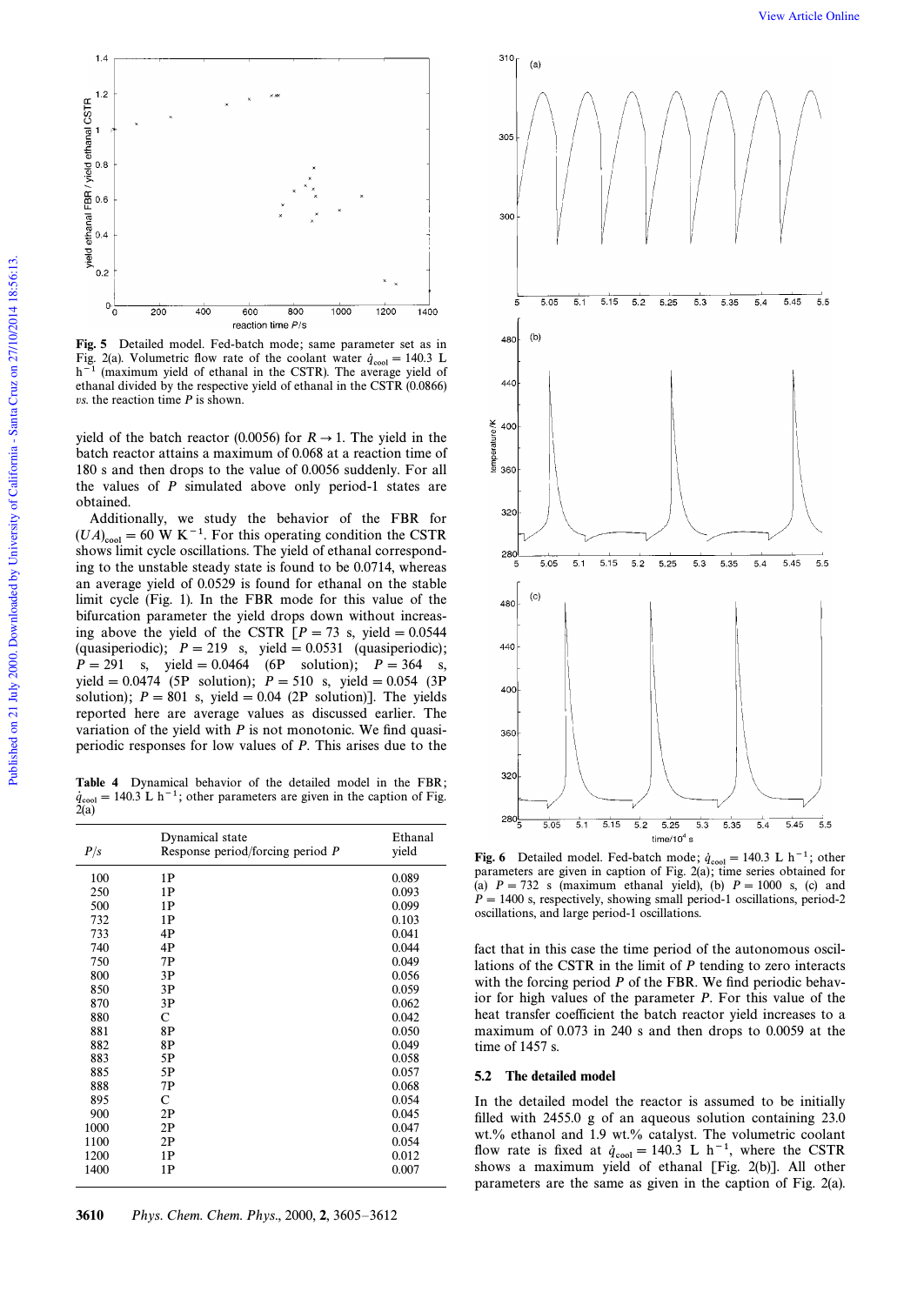

Fig. 5 Detailed model. Fed-batch mode; same parameter set as in Fig. 2(a). Volumetric flow rate of the coolant water  $\dot{q}_{\text{cool}} = 140.3$  L  $h^{-1}$  (maximum yield of ethanal in the CSTR). The average yield of ethanal divided by the respective yield of ethanal in the CSTR (0.0866)  $vs.$  the reaction time  $P$  is shown.

yield of the batch reactor (0.0056) for  $R \rightarrow 1$ . The yield in the batch reactor attains a maximum of 0.068 at a reaction time of 180 s and then drops to the value of 0.0056 suddenly. For all the values of  $P$  simulated above only period-1 states are obtained.

Additionally, we study the behavior of the FBR for  $(UA)_{\text{cool}} = 60 \text{ W K}^{-1}$ . For this operating condition the CSTR shows limit cycle oscillations. The yield of ethanal corresponding to the unstable steady state is found to be 0.0714, whereas an average yield of 0.0529 is found for ethanal on the stable limit cycle (Fig. 1). In the FBR mode for this value of the bifurcation parameter the yield drops down without increasing above the yield of the CSTR  $[P = 73$  s, yield  $= 0.0544$ (quasiperiodic);  $P = 219$  s, yield  $= 0.0531$  (quasiperiodic);  $P = 291$  s, yield = 0.0464 (6P solution);  $P = 364$  s, yield = 0.0474 (5P solution);  $P = 510$  s, yield = 0.054 (3P solution);  $P = 801$  s, yield  $= 0.04$  (2P solution)]. The yields reported here are average values as discussed earlier. The variation of the yield with  $P$  is not monotonic. We find quasiperiodic responses for low values of P. This arises due to the

**Table 4** Dynamical behavior of the detailed model in the FBR;<br> $\dot{q}_{\text{cool}} = 140.3 \text{ L h}^{-1}$ ; other parameters are given in the caption of Fig.<br>2(a)

| P/s  | Dynamical state<br>Response period/forcing period $P$ | Ethanal<br>yield |
|------|-------------------------------------------------------|------------------|
| 100  | 1P                                                    | 0.089            |
| 250  | 1P                                                    | 0.093            |
| 500  | 1P                                                    | 0.099            |
| 732  | 1P                                                    | 0.103            |
| 733  | 4P                                                    | 0.041            |
| 740  | 4P                                                    | 0.044            |
| 750  | 7P                                                    | 0.049            |
| 800  | 3P                                                    | 0.056            |
| 850  | 3P                                                    | 0.059            |
| 870  | 3P                                                    | 0.062            |
| 880  | C                                                     | 0.042            |
| 881  | 8P                                                    | 0.050            |
| 882  | 8P                                                    | 0.049            |
| 883  | 5P                                                    | 0.058            |
| 885  | 5P                                                    | 0.057            |
| 888  | 7Ρ                                                    | 0.068            |
| 895  | $\mathbf C$                                           | 0.054            |
| 900  | 2P                                                    | 0.045            |
| 1000 | 2P                                                    | 0.047            |
| 1100 | 2P                                                    | 0.054            |
| 1200 | 1P                                                    | 0.012            |
| 1400 | 1P                                                    | 0.007            |



Fig. 6 Detailed model. Fed-batch mode;  $\dot{q}_{cool} = 140.3 \text{ L h}^{-1}$ ; other parameters are given in caption of Fig. 2(a); time series obtained for (a)  $P = 732$  s (maximum ethanal yield), (b)  $P = 1000$  s, (c) and  $P = 1400$  s, respectively, showing small period-1 oscillations, period-2 oscillations, and large period-1 oscillations.

fact that in this case the time period of the autonomous oscillations of the CSTR in the limit of P tending to zero interacts with the forcing period  $P$  of the FBR. We find periodic behavior for high values of the parameter P. For this value of the heat transfer coefficient the batch reactor yield increases to a maximum of 0.073 in 240 s and then drops to 0.0059 at the time of 1457 s.

#### 5.2 The detailed model

In the detailed model the reactor is assumed to be initially filled with  $2455.0$  g of an aqueous solution containing  $23.0$ wt.% ethanol and 1.9 wt.% catalyst. The volumetric coolant flow rate is fixed at  $\dot{q}_{cool} = 140.3$  L h<sup>-1</sup>, where the CSTR shows a maximum yield of ethanal [Fig. 2(b)]. All other parameters are the same as given in the caption of Fig. 2(a).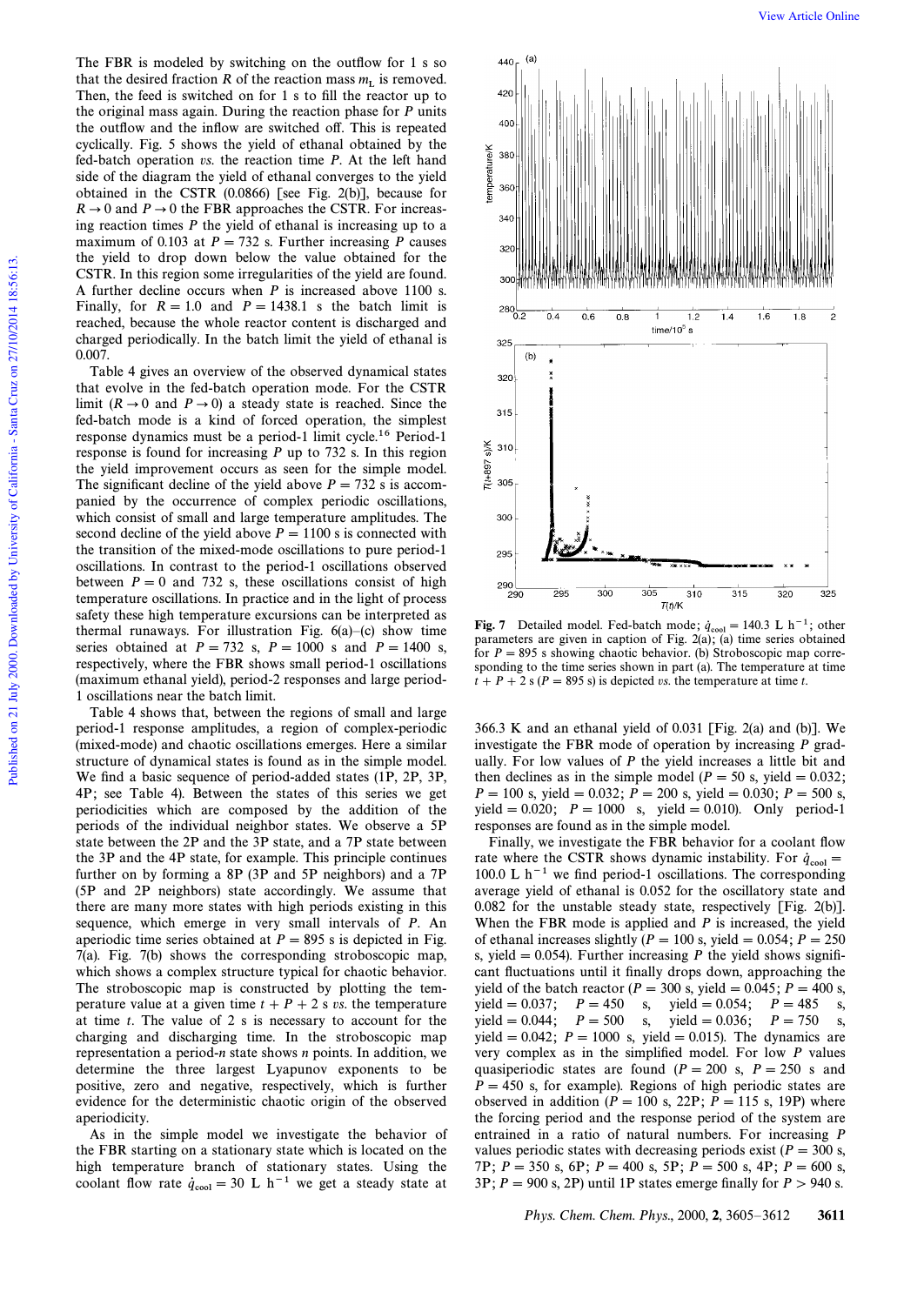The FBR is modeled by switching on the outflow for  $1$  s so that the desired fraction R of the reaction mass  $m<sub>L</sub>$  is removed. Then, the feed is switched on for 1 s to fill the reactor up to the original mass again. During the reaction phase for  $P$  units the outflow and the inflow are switched off. This is repeated cyclically. Fig. 5 shows the yield of ethanal obtained by the fed-batch operation vs. the reaction time P. At the left hand side of the diagram the yield of ethanal converges to the yield obtained in the CSTR (0.0866) [see Fig. 2(b)], because for  $R \rightarrow 0$  and  $P \rightarrow 0$  the FBR approaches the CSTR. For increasing reaction times  $P$  the yield of ethanal is increasing up to a maximum of 0.103 at  $P = 732$  s. Further increasing P causes the yield to drop down below the value obtained for the CSTR. In this region some irregularities of the yield are found. A further decline occurs when  $P$  is increased above 1100 s. Finally, for  $R = 1.0$  and  $P = 1438.1$  s the batch limit is reached, because the whole reactor content is discharged and charged periodically. In the batch limit the yield of ethanal is 0.007.

Table 4 gives an overview of the observed dynamical states that evolve in the fed-batch operation mode. For the CSTR limit  $(R \rightarrow 0$  and  $P \rightarrow 0)$  a steady state is reached. Since the fed-batch mode is a kind of forced operation, the simplest response dynamics must be a period-1 limit cycle.16 Period-1 response is found for increasing P up to 732 s. In this region the yield improvement occurs as seen for the simple model. The significant decline of the yield above  $P = 732$  s is accompanied by the occurrence of complex periodic oscillations, which consist of small and large temperature amplitudes. The second decline of the yield above  $P = 1100$  s is connected with the transition of the mixed-mode oscillations to pure period-1 oscillations. In contrast to the period-1 oscillations observed between  $P = 0$  and 732 s, these oscillations consist of high temperature oscillations. In practice and in the light of process safety these high temperature excursions can be interpreted as thermal runaways. For illustration Fig.  $6(a)$ –(c) show time series obtained at  $P = 732$  s,  $P = 1000$  s and  $P = 1400$  s, respectively, where the FBR shows small period-1 oscillations (maximum ethanal yield), period-2 responses and large period-1 oscillations near the batch limit.

Table 4 shows that, between the regions of small and large period-1 response amplitudes, a region of complex-periodic (mixed-mode) and chaotic oscillations emerges. Here a similar structure of dynamical states is found as in the simple model. We find a basic sequence of period-added states (1P, 2P, 3P, 4P; see Table 4). Between the states of this series we get periodicities which are composed by the addition of the periods of the individual neighbor states. We observe a 5P state between the 2P and the 3P state, and a 7P state between the 3P and the 4P state, for example. This principle continues further on by forming a 8P (3P and 5P neighbors) and a 7P (5P and 2P neighbors) state accordingly. We assume that there are many more states with high periods existing in this sequence, which emerge in very small intervals of P. An aperiodic time series obtained at  $P = 895$  s is depicted in Fig. 7(a). Fig. 7(b) shows the corresponding stroboscopic map, which shows a complex structure typical for chaotic behavior. The stroboscopic map is constructed by plotting the temperature value at a given time  $t + P + 2$  s vs. the temperature at time t. The value of 2 s is necessary to account for the charging and discharging time. In the stroboscopic map representation a period-n state shows n points. In addition, we determine the three largest Lyapunov exponents to be positive, zero and negative, respectively, which is further evidence for the deterministic chaotic origin of the observed aperiodicity.

As in the simple model we investigate the behavior of the FBR starting on a stationary state which is located on the high temperature branch of stationary states. Using the coolant flow rate  $\dot{q}_{cool} = 30$  L h<sup>-1</sup> we get a steady state at



**Fig. 7** Detailed model. Fed-batch mode;  $\dot{q}_{cool} = 140.3 \text{ L h}^{-1}$ ; other parameters are given in caption of Fig. 2(a); (a) time series obtained for  $P = 895$  s showing chaotic behavior. (b) Stroboscopic map corresponding to the time series shown in part (a). The temperature at time  $t + P + 2$  s (P = 895 s) is depicted vs. the temperature at time t.

366.3 K and an ethanal yield of 0.031 [Fig. 2(a) and (b)]. We investigate the FBR mode of operation by increasing  $P$  gradually. For low values of  $P$  the yield increases a little bit and then declines as in the simple model ( $P = 50$  s, yield  $= 0.032$ ;  $P=100$  s, yield  $= 0.032$ ;  $P= 200$  s, yield  $= 0.030$ ;  $P= 500$  s, yield = 0.020;  $P = 1000$  s, yield = 0.010). Only period-1 responses are found as in the simple model.

Finally, we investigate the FBR behavior for a coolant flow rate where the CSTR shows dynamic instability. For  $\dot{q}_{cool} =$  100.0 M  $_{1} = 1$ 100.0 L  $h^{-1}$  we find period-1 oscillations. The corresponding average yield of ethanal is 0.052 for the oscillatory state and 0.082 for the unstable steady state, respectively [Fig. 2(b)]. When the FBR mode is applied and  $P$  is increased, the yield of ethanal increases slightly ( $P = 100$  s, yield  $= 0.054$ ;  $P = 250$ s, yield  $= 0.054$ ). Further increasing P the yield shows significant fluctuations until it finally drops down, approaching the yield of the batch reactor ( $P = 300$  s, yield  $= 0.045; P = 400$  s, yield  $= 0.037$ ;  $P = 450$  s, yield  $= 0.054$ ;  $P = 485$  s, yield = 0.044;  $P = 500$  s, yield = 0.036;  $P = 750$  s, yield = 0.042;  $P = 1000$  s, yield = 0.015). The dynamics are very complex as in the simplified model. For low  $P$  values quasiperiodic states are found ( $P = 200$  s,  $P = 250$  s and  $P = 450$  s, for example). Regions of high periodic states are observed in addition ( $P = 100$  s, 22P;  $P = 115$  s, 19P) where the forcing period and the response period of the system are entrained in a ratio of natural numbers. For increasing P values periodic states with decreasing periods exist ( $P = 300$  s, 7P;  $P = 350$  s,  $6P$ ;  $P = 400$  s,  $5P$ ;  $P = 500$  s,  $4P$ ;  $P = 600$  s,  $3P$ ;  $P = 900$  s, 2P) until 1P states emerge finally for  $P > 940$  s.